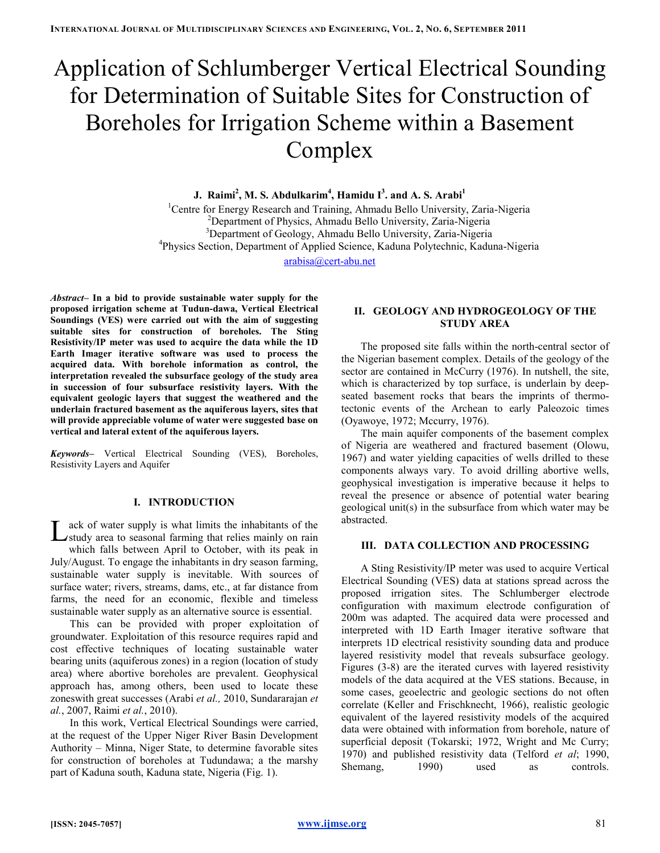# Application of Schlumberger Vertical Electrical Sounding for Determination of Suitable Sites for Construction of Boreholes for Irrigation Scheme within a Basement Complex

J. Raimi $^2$ , M. S. Abdulkarim $^4$ , Hamidu I $^3$ . and A. S. Arabi $^1$ 

<sup>1</sup>Centre for Energy Research and Training, Ahmadu Bello University, Zaria-Nigeria <sup>2</sup>Department of Physics, Ahmadu Bello University, Zaria-Nigeria <sup>3</sup>Department of Geology, Ahmadu Bello University, Zaria-Nigeria 4 Physics Section, Department of Applied Science, Kaduna Polytechnic, Kaduna-Nigeria

arabisa@cert-abu.net

Abstract– In a bid to provide sustainable water supply for the proposed irrigation scheme at Tudun-dawa, Vertical Electrical Soundings (VES) were carried out with the aim of suggesting suitable sites for construction of boreholes. The Sting Resistivity/IP meter was used to acquire the data while the 1D Earth Imager iterative software was used to process the acquired data. With borehole information as control, the interpretation revealed the subsurface geology of the study area in succession of four subsurface resistivity layers. With the equivalent geologic layers that suggest the weathered and the underlain fractured basement as the aquiferous layers, sites that will provide appreciable volume of water were suggested base on vertical and lateral extent of the aquiferous layers.

Keywords– Vertical Electrical Sounding (VES), Boreholes, Resistivity Layers and Aquifer

# I. INTRODUCTION

ack of water supply is what limits the inhabitants of the Let of water supply is what limits the inhabitants of the study area to seasonal farming that relies mainly on rain which falls between April to October, with its peak in July/August. To engage the inhabitants in dry season farming, sustainable water supply is inevitable. With sources of surface water; rivers, streams, dams, etc., at far distance from farms, the need for an economic, flexible and timeless sustainable water supply as an alternative source is essential.

This can be provided with proper exploitation of groundwater. Exploitation of this resource requires rapid and cost effective techniques of locating sustainable water bearing units (aquiferous zones) in a region (location of study area) where abortive boreholes are prevalent. Geophysical approach has, among others, been used to locate these zoneswith great successes (Arabi et al., 2010, Sundararajan et al., 2007, Raimi et al., 2010).

In this work, Vertical Electrical Soundings were carried, at the request of the Upper Niger River Basin Development Authority – Minna, Niger State, to determine favorable sites for construction of boreholes at Tudundawa; a the marshy part of Kaduna south, Kaduna state, Nigeria (Fig. 1).

# II. GEOLOGY AND HYDROGEOLOGY OF THE STUDY AREA

The proposed site falls within the north-central sector of the Nigerian basement complex. Details of the geology of the sector are contained in McCurry (1976). In nutshell, the site, which is characterized by top surface, is underlain by deepseated basement rocks that bears the imprints of thermotectonic events of the Archean to early Paleozoic times (Oyawoye, 1972; Mccurry, 1976).

The main aquifer components of the basement complex of Nigeria are weathered and fractured basement (Olowu, 1967) and water yielding capacities of wells drilled to these components always vary. To avoid drilling abortive wells, geophysical investigation is imperative because it helps to reveal the presence or absence of potential water bearing geological unit(s) in the subsurface from which water may be abstracted.

# III. DATA COLLECTION AND PROCESSING

A Sting Resistivity/IP meter was used to acquire Vertical Electrical Sounding (VES) data at stations spread across the proposed irrigation sites. The Schlumberger electrode configuration with maximum electrode configuration of 200m was adapted. The acquired data were processed and interpreted with 1D Earth Imager iterative software that interprets 1D electrical resistivity sounding data and produce layered resistivity model that reveals subsurface geology. Figures (3-8) are the iterated curves with layered resistivity models of the data acquired at the VES stations. Because, in some cases, geoelectric and geologic sections do not often correlate (Keller and Frischknecht, 1966), realistic geologic equivalent of the layered resistivity models of the acquired data were obtained with information from borehole, nature of superficial deposit (Tokarski; 1972, Wright and Mc Curry; 1970) and published resistivity data (Telford et al; 1990, Shemang, 1990) used as controls.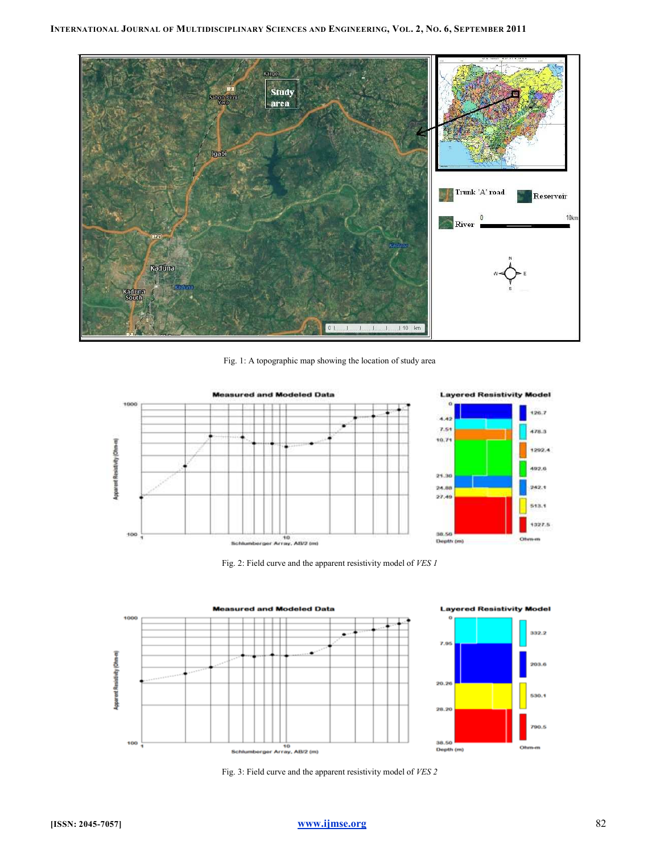

Fig. 1: A topographic map showing the location of study area





332.2

203.6

530.1

790.5

Fig. 2: Field curve and the apparent resistivity model of VES 1



Fig. 3: Field curve and the apparent resistivity model of VES 2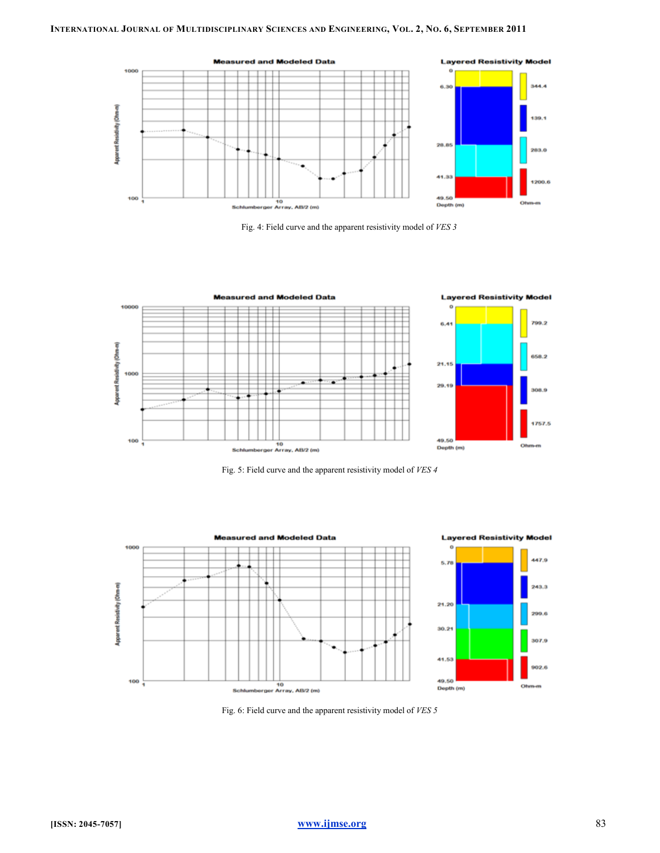

Fig. 4: Field curve and the apparent resistivity model of VES 3



Fig. 5: Field curve and the apparent resistivity model of VES 4



Fig. 6: Field curve and the apparent resistivity model of VES 5